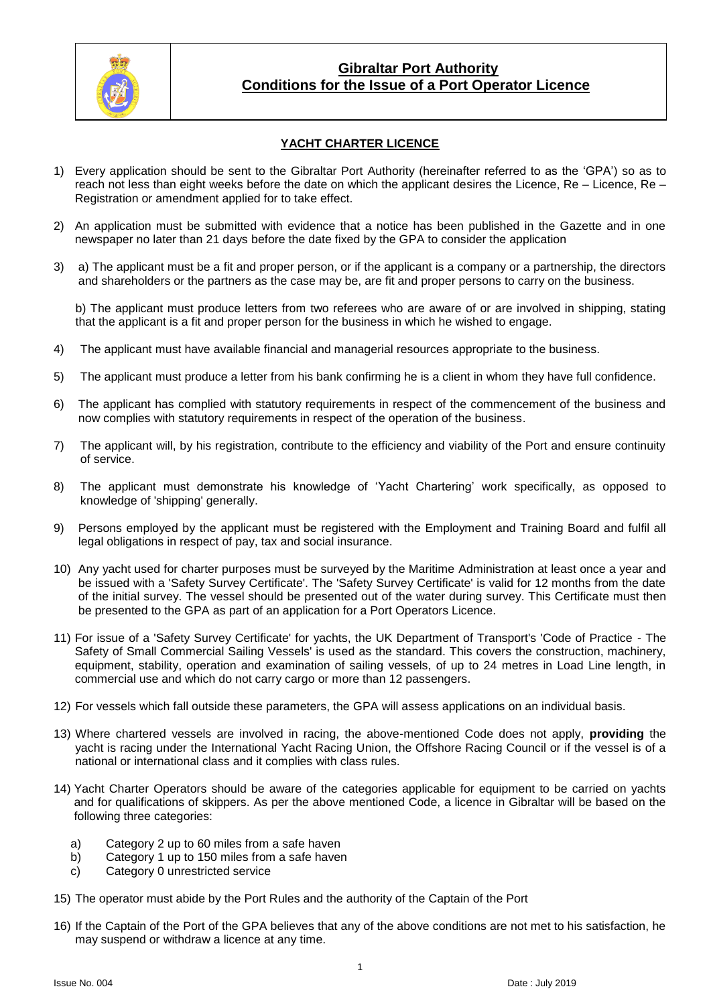

## **Gibraltar Port Authority Conditions for the Issue of a Port Operator Licence**

## **YACHT CHARTER LICENCE**

- 1) Every application should be sent to the Gibraltar Port Authority (hereinafter referred to as the 'GPA') so as to reach not less than eight weeks before the date on which the applicant desires the Licence, Re – Licence, Re – Registration or amendment applied for to take effect.
- 2) An application must be submitted with evidence that a notice has been published in the Gazette and in one newspaper no later than 21 days before the date fixed by the GPA to consider the application
- 3) a) The applicant must be a fit and proper person, or if the applicant is a company or a partnership, the directors and shareholders or the partners as the case may be, are fit and proper persons to carry on the business.

b) The applicant must produce letters from two referees who are aware of or are involved in shipping, stating that the applicant is a fit and proper person for the business in which he wished to engage.

- 4) The applicant must have available financial and managerial resources appropriate to the business.
- 5) The applicant must produce a letter from his bank confirming he is a client in whom they have full confidence.
- 6) The applicant has complied with statutory requirements in respect of the commencement of the business and now complies with statutory requirements in respect of the operation of the business.
- 7) The applicant will, by his registration, contribute to the efficiency and viability of the Port and ensure continuity of service.
- 8) The applicant must demonstrate his knowledge of 'Yacht Chartering' work specifically, as opposed to knowledge of 'shipping' generally.
- 9) Persons employed by the applicant must be registered with the Employment and Training Board and fulfil all legal obligations in respect of pay, tax and social insurance.
- 10) Any yacht used for charter purposes must be surveyed by the Maritime Administration at least once a year and be issued with a 'Safety Survey Certificate'. The 'Safety Survey Certificate' is valid for 12 months from the date of the initial survey. The vessel should be presented out of the water during survey. This Certificate must then be presented to the GPA as part of an application for a Port Operators Licence.
- 11) For issue of a 'Safety Survey Certificate' for yachts, the UK Department of Transport's 'Code of Practice The Safety of Small Commercial Sailing Vessels' is used as the standard. This covers the construction, machinery, equipment, stability, operation and examination of sailing vessels, of up to 24 metres in Load Line length, in commercial use and which do not carry cargo or more than 12 passengers.
- 12) For vessels which fall outside these parameters, the GPA will assess applications on an individual basis.
- 13) Where chartered vessels are involved in racing, the above-mentioned Code does not apply, **providing** the yacht is racing under the International Yacht Racing Union, the Offshore Racing Council or if the vessel is of a national or international class and it complies with class rules.
- 14) Yacht Charter Operators should be aware of the categories applicable for equipment to be carried on yachts and for qualifications of skippers. As per the above mentioned Code, a licence in Gibraltar will be based on the following three categories:
	- a) Category 2 up to 60 miles from a safe haven
	- b) Category 1 up to 150 miles from a safe haven
	- c) Category 0 unrestricted service
- 15) The operator must abide by the Port Rules and the authority of the Captain of the Port
- 16) If the Captain of the Port of the GPA believes that any of the above conditions are not met to his satisfaction, he may suspend or withdraw a licence at any time.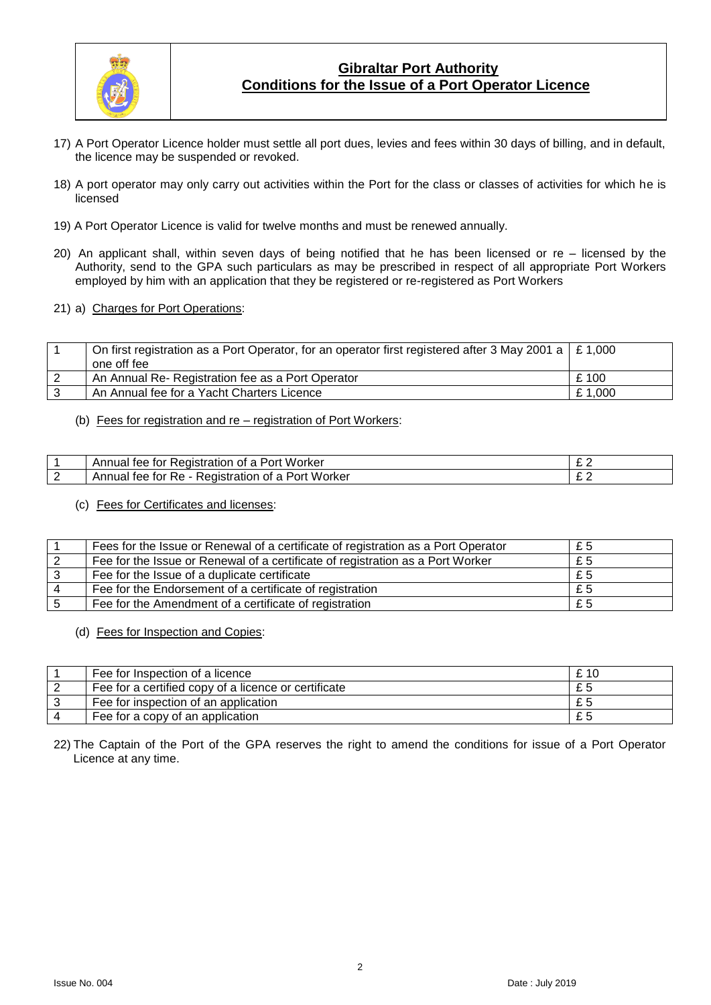

# **Gibraltar Port Authority Conditions for the Issue of a Port Operator Licence**

- 17) A Port Operator Licence holder must settle all port dues, levies and fees within 30 days of billing, and in default, the licence may be suspended or revoked.
- 18) A port operator may only carry out activities within the Port for the class or classes of activities for which he is licensed
- 19) A Port Operator Licence is valid for twelve months and must be renewed annually.
- 20) An applicant shall, within seven days of being notified that he has been licensed or re licensed by the Authority, send to the GPA such particulars as may be prescribed in respect of all appropriate Port Workers employed by him with an application that they be registered or re-registered as Port Workers
- 21) a) Charges for Port Operations:

| On first registration as a Port Operator, for an operator first registered after 3 May 2001 a $\mid$ £ 1,000 |        |
|--------------------------------------------------------------------------------------------------------------|--------|
| one off fee                                                                                                  |        |
| An Annual Re- Registration fee as a Port Operator                                                            | £ 100  |
| An Annual fee for a Yacht Charters Licence                                                                   | £1,000 |

#### (b) Fees for registration and re – registration of Port Workers:

|   | Worker<br>Registration<br>Annual<br>tor<br>tee<br>∵a Port<br>Ωt         | - - |
|---|-------------------------------------------------------------------------|-----|
| ∼ | Worker<br>Registration<br>. Port<br>Annuai<br>tee<br>tor<br>Re.<br>ot a |     |

(c) Fees for Certificates and licenses:

|   | Fees for the Issue or Renewal of a certificate of registration as a Port Operator | £ 5 |
|---|-----------------------------------------------------------------------------------|-----|
|   | Fee for the Issue or Renewal of a certificate of registration as a Port Worker    | £5  |
|   | Fee for the Issue of a duplicate certificate                                      | £ 5 |
|   | Fee for the Endorsement of a certificate of registration                          | £ 5 |
| 5 | Fee for the Amendment of a certificate of registration                            | £5  |

(d) Fees for Inspection and Copies:

| Fee for Inspection of a licence                      | £ 10 |
|------------------------------------------------------|------|
| Fee for a certified copy of a licence or certificate |      |
| Fee for inspection of an application                 |      |
| Fee for a copy of an application                     |      |

22) The Captain of the Port of the GPA reserves the right to amend the conditions for issue of a Port Operator Licence at any time.